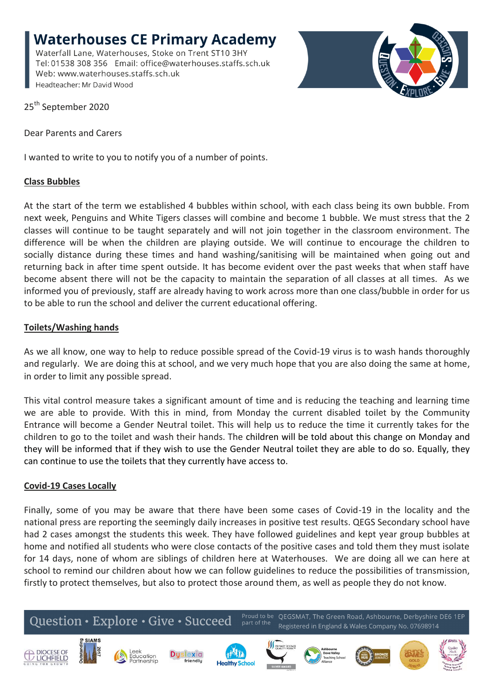**Waterhouses CE Primary Academy** Waterfall Lane, Waterhouses, Stoke on Trent ST10 3HY Tel: 01538 308 356 Email: office@waterhouses.staffs.sch.uk Web: www.waterhouses.staffs.sch.uk Headteacher: Mr David Wood



25<sup>th</sup> September 2020

Dear Parents and Carers

I wanted to write to you to notify you of a number of points.

## **Class Bubbles**

At the start of the term we established 4 bubbles within school, with each class being its own bubble. From next week, Penguins and White Tigers classes will combine and become 1 bubble. We must stress that the 2 classes will continue to be taught separately and will not join together in the classroom environment. The difference will be when the children are playing outside. We will continue to encourage the children to socially distance during these times and hand washing/sanitising will be maintained when going out and returning back in after time spent outside. It has become evident over the past weeks that when staff have become absent there will not be the capacity to maintain the separation of all classes at all times. As we informed you of previously, staff are already having to work across more than one class/bubble in order for us to be able to run the school and deliver the current educational offering.

## **Toilets/Washing hands**

As we all know, one way to help to reduce possible spread of the Covid-19 virus is to wash hands thoroughly and regularly. We are doing this at school, and we very much hope that you are also doing the same at home, in order to limit any possible spread.

This vital control measure takes a significant amount of time and is reducing the teaching and learning time we are able to provide. With this in mind, from Monday the current disabled toilet by the Community Entrance will become a Gender Neutral toilet. This will help us to reduce the time it currently takes for the children to go to the toilet and wash their hands. The children will be told about this change on Monday and they will be informed that if they wish to use the Gender Neutral toilet they are able to do so. Equally, they can continue to use the toilets that they currently have access to.

## **Covid-19 Cases Locally**

Finally, some of you may be aware that there have been some cases of Covid-19 in the locality and the national press are reporting the seemingly daily increases in positive test results. QEGS Secondary school have had 2 cases amongst the students this week. They have followed guidelines and kept year group bubbles at home and notified all students who were close contacts of the positive cases and told them they must isolate for 14 days, none of whom are siblings of children here at Waterhouses. We are doing all we can here at school to remind our children about how we can follow guidelines to reduce the possibilities of transmission, firstly to protect themselves, but also to protect those around them, as well as people they do not know.











friendlu